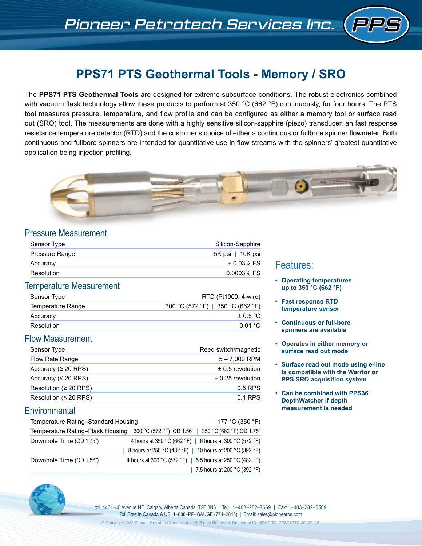# **PPS71 PTS Geothermal Tools - Memory / SRO**

The **PPS71 PTS Geothermal Tools** are designed for extreme subsurface conditions. The robust electronics combined with vacuum flask technology allow these products to perform at 350 °C (662 °F) continuously, for four hours. The PTS tool measures pressure, temperature, and flow profile and can be configured as either a memory tool or surface read out (SRO) tool. The measurements are done with a highly sensitive silicon-sapphire (piezo) transducer, an fast response resistance temperature detector (RTD) and the customer's choice of either a continuous or fullbore spinner flowmeter. Both continuous and fullbore spinners are intended for quantitative use in flow streams with the spinners' greatest quantitative application being injection profiling.



## Pressure Measurement

| Sensor Type           | Silicon-Sapphire |  |
|-----------------------|------------------|--|
| <b>Pressure Range</b> | 5K psi   10K psi |  |
| Accuracy              | $\pm$ 0.03% FS   |  |
| Resolution            | 0.0003% FS       |  |

## Temperature Measurement

| Sensor Type       | RTD (Pt1000; 4-wire)              |
|-------------------|-----------------------------------|
| Temperature Range | 300 °C (572 °F)   350 °C (662 °F) |
| Accuracy          | $+0.5 °C$                         |
| Resolution        | 0.01 °C                           |

## Flow Measurement

| Sensor Type                 | Reed switch/magnetic  |
|-----------------------------|-----------------------|
| Flow Rate Range             | $5 - 7,000$ RPM       |
| Accuracy ( $\geq 20$ RPS)   | $\pm$ 0.5 revolution  |
| Accuracy ( $\leq$ 20 RPS)   | $\pm$ 0.25 revolution |
| Resolution ( $\geq$ 20 RPS) | $0.5$ RPS             |
| Resolution ( $\leq$ 20 RPS) | 0.1 RPS               |

## **Environmental**

| Temperature Rating-Standard Housing | 177 °C (350 °F)                                                                      |
|-------------------------------------|--------------------------------------------------------------------------------------|
|                                     | Temperature Rating-Flask Housing 300 °C (572 °F) OD 1.56"   350 °C (662 °F) OD 1.75" |
| Downhole Time (OD 1.75")            | 4 hours at 350 °C (662 °F)   6 hours at 300 °C (572 °F)                              |
|                                     | 8 hours at 250 °C (482 °F)   10 hours at 200 °C (392 °F)                             |
| Downhole Time (OD 1.56")            | 4 hours at 300 °C (572 °F)   5.5 hours at 250 °C (482 °F)                            |
|                                     | 7.5 hours at 200 °C (392 °F)                                                         |

## Features:

- **• Operating temperatures up to 350 °C (662 °F)**
- **• Fast response RTD temperature sensor**
- **• Continuous or full-bore spinners are available**
- **• Operates in either memory or surface read out mode**
- **• Surface read out mode using e-line is compatible with the Warrior or PPS SRO acquisition system**
- **• Can be combined with PPS36 DepthWatcher if depth measurement is needed**



#1, 1431–40 Avenue NE, Calgary, Alberta Canada, T2E 8N6 | Tel: 1–403–282–7669 | Fax: 1–403–282–0509 Toll Free in Canada & US: 1–888–PP–GAUGE (774–2843) | Email: sales@pioneerps.com